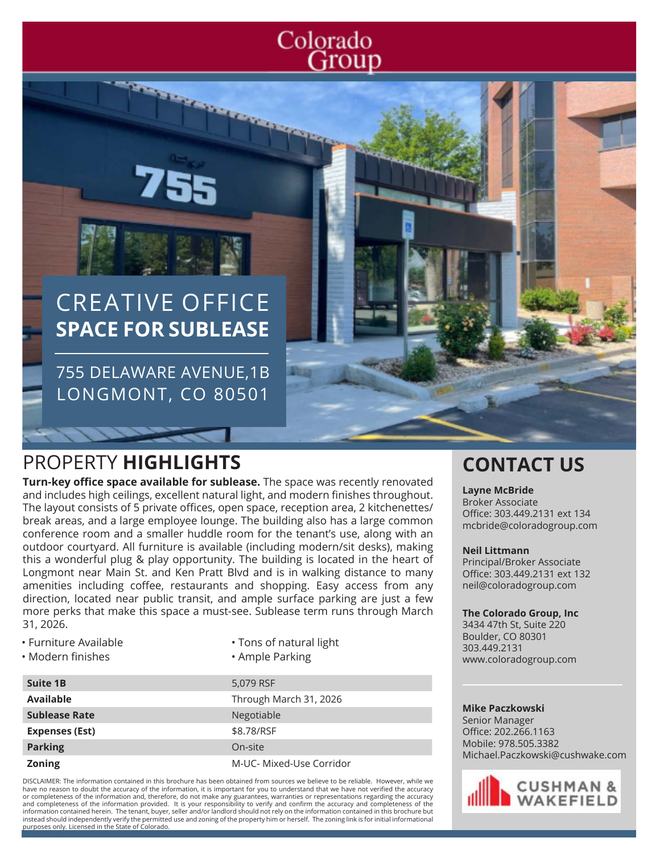# Colorado Group

# CREATIVE OFFICE **SPACE FOR SUBLEASE**

**Contractor** 

755 DELAWARE AVENUE,1B LONGMONT, CO 80501

# PROPERTY **HIGHLIGHTS CONTACT US**

**Turn-key office space available for sublease.** The space was recently renovated and includes high ceilings, excellent natural light, and modern finishes throughout. The layout consists of 5 private offices, open space, reception area, 2 kitchenettes/ break areas, and a large employee lounge. The building also has a large common conference room and a smaller huddle room for the tenant's use, along with an outdoor courtyard. All furniture is available (including modern/sit desks), making this a wonderful plug & play opportunity. The building is located in the heart of Longmont near Main St. and Ken Pratt Blvd and is in walking distance to many amenities including coffee, restaurants and shopping. Easy access from any direction, located near public transit, and ample surface parking are just a few more perks that make this space a must-see. Sublease term runs through March 31, 2026.

- Furniture Available
- Modern finishes
- Tons of natural light
	- Ample Parking

| <b>Suite 1B</b>       | 5,079 RSF                |
|-----------------------|--------------------------|
| <b>Available</b>      | Through March 31, 2026   |
| <b>Sublease Rate</b>  | Negotiable               |
| <b>Expenses (Est)</b> | \$8.78/RSF               |
| <b>Parking</b>        | On-site                  |
| <b>Zoning</b>         | M-UC- Mixed-Use Corridor |

DISCLAIMER: The information contained in this brochure has been obtained from sources we believe to be reliable. However, while we have no reason to doubt the accuracy of the information, it is important for you to understand that we have not verified the accuracy or completeness of the information and, therefore, do not make any guarantees, warranties or representations regarding the accuracy and completeness of the information provided. It is your responsibility to verify and confirm the accuracy and completeness of the information contained herein. The tenant, buyer, seller and/or landlord should not rely on the information contained in this brochure but instead should independently verify the permitted use and zoning of the property him or herself. The zoning link is for initial informational purposes only. Licensed in the State of Colorado.

### **Layne McBride**

Broker Associate Office: 303.449.2131 ext 134 mcbride@coloradogroup.com

### **Neil Littmann**

Principal/Broker Associate Office: 303.449.2131 ext 132 neil@coloradogroup.com

### **The Colorado Group, Inc**

3434 47th St, Suite 220 Boulder, CO 80301 303.449.2131 www.coloradogroup.com

### **Mike Paczkowski**

Senior Manager Office: 202.266.1163 Mobile: 978.505.3382 Michael.Paczkowski@cushwake.com

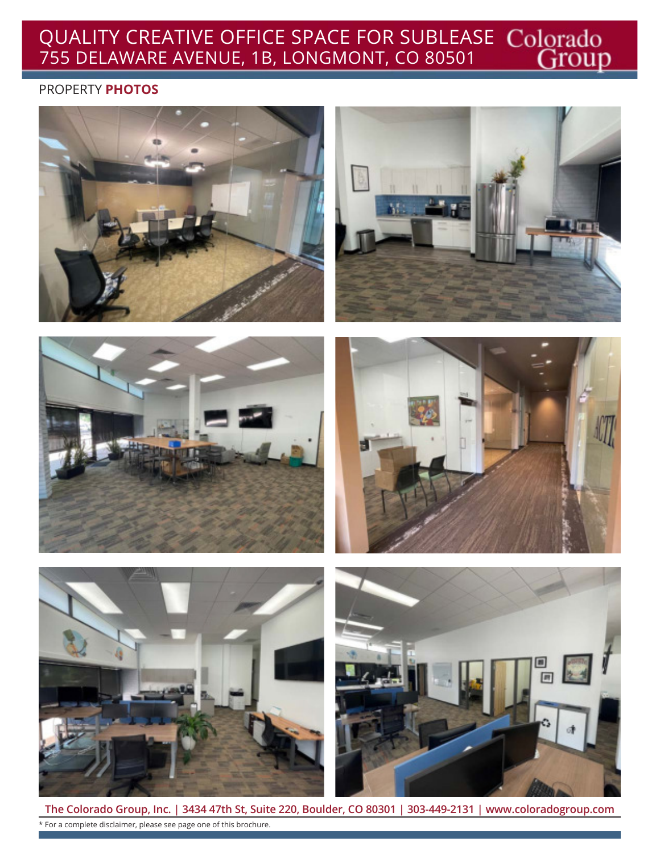## QUALITY CREATIVE OFFICE SPACE FOR SUBLEASE 755 DELAWARE AVENUE, 1B, LONGMONT, CO 80501

### PROPERTY **PHOTOS**













**The Colorado Group, Inc. | 3434 47th St, Suite 220, Boulder, CO 80301 | 303-449-2131 | www.coloradogroup.com** \* For a complete disclaimer, please see page one of this brochure.